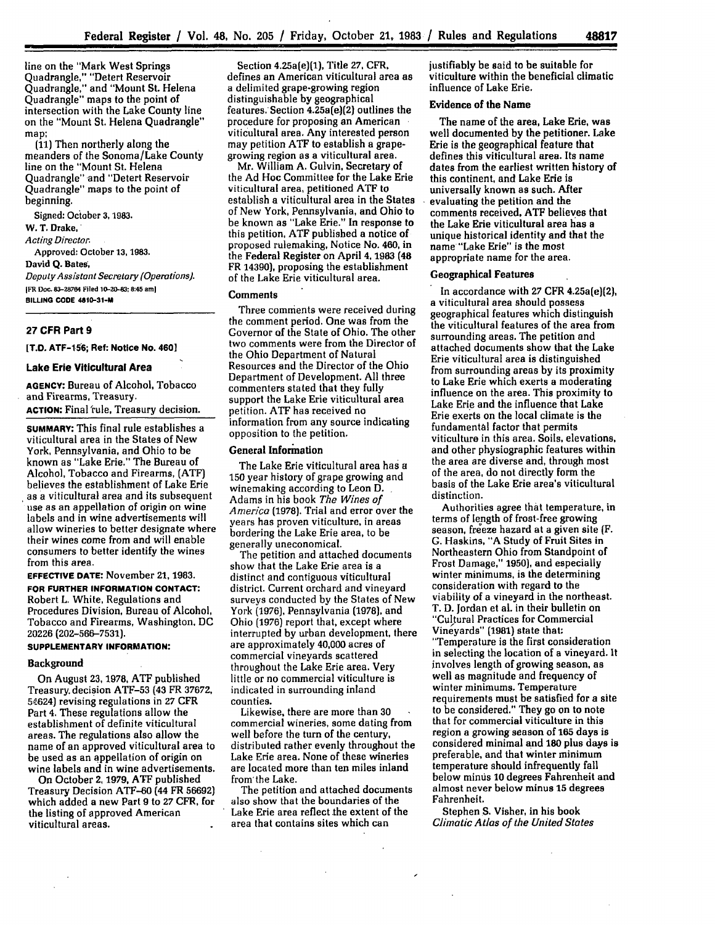line on the "Mark West Springs Quadrangle," "Detert Reservoir Quadrangle," and "Mount St. Helena Quadrangle" maps to the point of intersection with the Lake County line on the "Mount St. Helena Quadrangle" map;

(11) Then northerly along the meanders of the Sonoma/Lake County line on the "Mount St. Helena Quadrangle" and "Detert Reservoir Quadrangle" maps to the point of beginning.

Signed: October **3, 1983. W. T. Drake,** *Acting Director.* Approved: October **13, 1983.** David **Q.** Bates, *Deputy Assistant Secretary (Operations).* **IF R Doc. 83-28764 Filed 10-20-83:8:45 am] BILLING CODE 4810-31-M**

## **27 CFR Part 9**

**[T.D. ATF-156; Ref: Notice No. 4601**

# **Lake Erie Viticultural Area**

**AGENCY:** Bureau **of** Alcohol, Tobacco and Firearms, Treasury.

**ACTION:** Final fule, Treasury decision.

**SUMMARY: This** final rule establishes a viticultural area in the States of New York, Pennsylvania, and Ohio to be known as "Lake Erie." The Bureau of Alcohol, Tobacco and Firearms, **(ATFJ** believes the establishment of Lake Erie as a viticultural area and its subsequent use as an appellation of origin on wine labels and in wine advertisements will allow wineries to better designate where their wines come from and will enable consumers to better identify the wines from this area.

**EFFECTIVE DATE:** November **21, 1983. FOR FURTHER INFORMATION CONTACT:** Robert L. White, Regulations and Procedures Division, Bureau of Alcohol, Tobacco and Firearms, Washington. **DC 20226 (202-566-7531).**

# **SUPPLEMENTARY INFORMATION:**

### Background

On August **23, 1978, ATF** published Treasury. decision ATF-53 (43 FR 37672, 54624) revising regulations in 27 CFR Part 4. These regulations allow the establishment of definite viticultural areas. The regulations also allow the name of an approved viticultural area to be used as an appellation of origin on wine labels and in wine advertisements.

On October **2,** 1979, **ATF** published Treasury Decision **ATF-60** (44 FR 56692] which added a new Part 9 to **27** CFR, for the listing of approved American viticultural areas.

Section 4.25a(e)(1), Title **27,** CFR. defines an American viticultural area as a delimited grape-growing region distinguishable **by** geographical features. Section 4.25a(el)(2) outlines the procedure for proposing an American viticultural area. Any interested person may petition **ATF** to establish a grapegrowing region as a viticultural area.

Mr. William A. Gulvin, Secretary of the Ad Hoc Committee for the Lake Erie viticultural area, petitioned **ATF** to establish a viticultural area in the States of New York, Pennsylvania, and Ohio to be known as "Lake Erie." In response to this petition, **ATF** published a notice of proposed rulemaking, Notice No. 460, in the Federal Register on April 4, **1983** (48 FR 14390), proposing the establishment of the Lake Erie viticultural area.

#### **Comments**

Three comments were received during the comment period. One was from the Governor of the State of Ohio. The other two comments were from the Director of the Ohio Department of Natural Resources and the Director of the Ohio Department of Development. **All** three commenters stated that they fully support the Lake Erie viticultural area petition. **ATF** has received no information from any source indicating opposition to the petition.

## General Information

The Lake Erie viticultural area has a 150 year history of grape growing and winemaking according to Leon **D.** Adams in his book *The Wines of America* (1978). Trial and error over the years has proven viticulture, in areas bordering the Lake Erie area, to be generally uneconomical.

The petition and attached documents show that the Lake Erie area is a distinct and contiguous viticultural district. Current orchard and vineyard surveys conducted **by** the States of New York (1976), Pennsylvania (1978], and Ohio (1976) report that, except where interrupted by urban development, there are approximately 40,000 acres of commercial vineyards scattered throughout the Lake Erie area. Very little or no commercial viticulture is indicated in surrounding inland counties.

Likewise, there are more than **30** commercial wineries, some dating from well before the turn of the century, distributed rather evenly throughout the Lake Erie area. None of these wineries are located more than ten miles inland from'the Lake.

The petition and attached documents also show that the boundaries of the Lake Erie area reflect the extent of the area that contains sites which can

 $\sim$ 

justifiably be said to be suitable for viticulture within the beneficial climatic influence of Lake Erie.

# Evidence of the Name

The name of the area, Lake Erie, was well documented **by** the petitioner. Lake Erie is the geographical feature that defines this viticultural area. Its name dates from the earliest written history **of** this continent, and Lake Erie is universally known as such. After evaluating the petition and the comments received, **ATF** believes that the Lake Erie viticultural area has a unique historical identity and that the name "Lake Erie" is the most appropriate name for the area.

### Geographical Features

In accordance with **27** CFR 4.25a(e](2), a viticultural area should possess geographical features which distinguish the viticultural features of the area from surrounding areas. The petition and attached documents show that the Lake Erie viticultural area is distinguished from surrounding areas **by** its proximity to Lake Erie which exerts a moderating influence on the area. This proximity to Lake Erie and the influence that Lake Erie exerts on the local climate is the fundamental factor that permits viticulture in this area. Soils, elevations, and other physiographic features within the area are diverse and, through most of the area, do not directly form the basis of the Lake Erie area's viticultural distinction.

Authorities agree that temperature, in terms of length of frost-free growing season, freeze hazard at a given site (F. G. Haskins, "A Study of Fruit Sites in Northeastern Ohio from Standpoint of Frost Damage," **1950),** and especially winter minimums, is the determining consideration with regard to the viability of a vineyard in the northeast. T. D. Jordan et al. in their bulletin on "Cultural Practices for Commercial Vineyards" (1981) state that: "Temperature is the first consideration in selecting the location of a vineyard. It involves length of growing season, as well as magnitude and frequency of winter minimums. Temperature requirements must be satisfied for a site to be considered." They go on to note that for commercial viticulture in this region a growing season of **165** days is considered minimal and **180** plus days is preferable, and that winter minimum temperature should infrequently fall below minus **10** degrees Fahrenheit and almost never below minus **15** degrees Fahrenheit.

Stephen S. Visher, in his book *Climatic Atlas of the United States*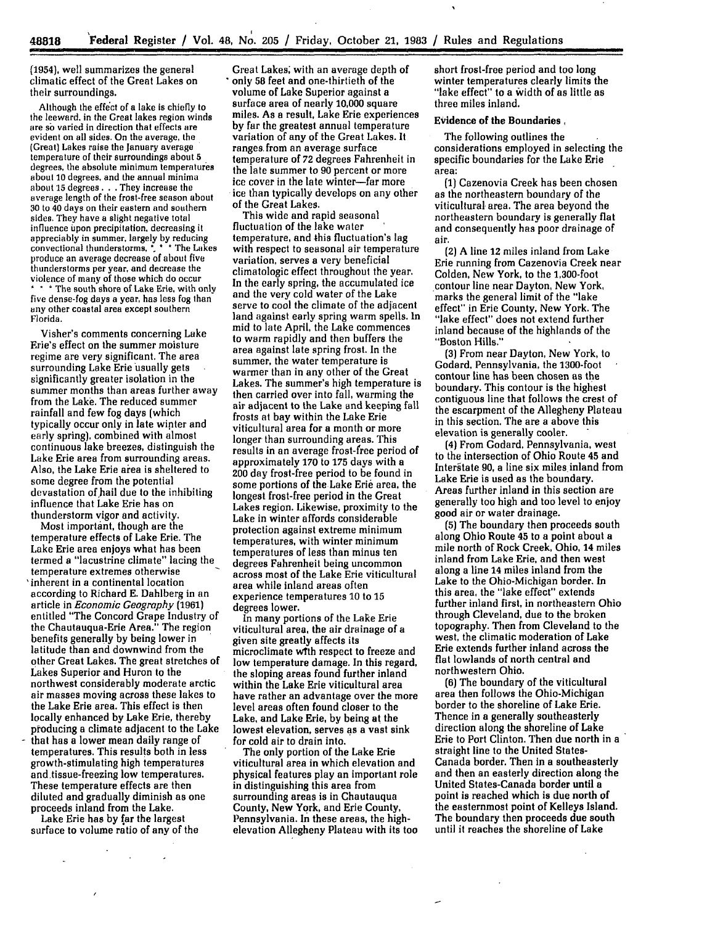**(1954),** well summarizes the general climatic effect of the Great Lakes on their surroundings.

Although the effect of a lake is chiefly to<br>the leeward, in the Great lakes region winds are so varied in direction that effects are evident on all sides. On the average, the (Great) Lakes raise the January average temperature of their surroundings about **5** degrees, the absolute minimum temperatures about **10** degrees, and the annual minima about **15** degrees. **.** .They increase the average length of the frost-free season about **30** to 40 days on their eastern and southern sides. **They** have a slight negative total influence upon precipitation, decreasing **it** appreciably in summer, largely by reducing convectional thunderstorms, **\*. \* \*** The Lakes produce an average decrease of about five thunderstorms per year, and decrease the violence of many of those which do occur The south shore of Lake Erie, with only five dense-fog days a year, has less fog than any other coastal area except southern Florida.

Visher's comments concerning Lake Erie's effect on the summer moisture regime are very significant. The area surrounding Lake Erie usually gets significantly greater isolation in the summer months than areas further away from the Lake. The reduced summer rainfall and few fog days (which typically occur only in late winter and early spring), combined with almost continuous lake breezes, distinguish the Lake Erie area from surrounding areas. Also, the Lake Erie area is sheltered to some degree from the potential devastation of hail due to the inhibiting influence that Lake Erie has on thunderstorm vigor and activity.

Most important, though are the temperature effects of Lake Erie. The Lake Erie area enjoys what has been termed **a** "lacustrine climate" lacing the temperature extremes otherwise 'inherent in a continental location according to Richard E. Dahlberg in an article in *Economic Geography* **(1961)** entitled "The Concord Grape Industry of the Chautauqua-Erie Area." The region benefits generally by being lower in latitude than and downwind from the other Great Lakes. The great stretches of Lakes Superior and Huron to the northwest considerably moderate arctic air masses moving across these lakes to the Lake Erie area. This effect is then locally enhanced **by** Lake Erie, thereby producing a climate adjacent to the Lake that has a lower mean daily range of temperatures. This results both in less growth-stimulating high temperatures and tissue-freezing low temperatures. These temperature effects are then diluted and gradually diminish as one proceeds inland from the Lake.

Lake Erie has **by far** the largest surface to volume ratio of any of the

 $\sim$ 

Great Lakes; with an average depth of only **58** feet and one-thirtieth of the volume of Lake Superior against a surface area of nearly 10,000 square miles. As a result, Lake Erie experiences **by** far the greatest annual temperature variation of any of the Great Lakes. It ranges.from an average surface temperature of 72 degrees Fahrenheit in the late summer to 90 percent or more ice cover in the late winter-far more ice than typically develops on any other of the Great Lakes.

This wide and rapid seasonal fluctuation of the lake water temperature, and this fluctuation's **lag** with respect to seasonal air temperature variation, serves a very beneficial climatologic effect throughout the year. In the early spring, the accumulated ice and the very cold water of the Lake serve to cool the climate of the adjacent land against early spring warm spells. In mid to late April, the Lake commences to warm rapidly and then buffers the area against late spring frost. In the summer, the water temperature is warmer than in any other of the Great Lakes. The summer's high temperature is then carried over into fall, warming the air adjacent to the Lake and keeping fall frosts at bay within the Lake Erie viticultural area for a month or more longer than surrounding areas. This results in an average frost-free period of approximately **170** to **175** days with a 200 **day** frost-free period to be found in some portions of the Lake Erie area, the longest frost-free period in the Great Lakes region. Likewise, proximity to the Lake in winter affords considerable protection against extreme minimum temperatures, with winter minimum temperatures of less than minus ten degrees Fahrenheit being uncommon across most of the Lake Erie viticultural area while inland areas often experience temperatures **10** to **15** degrees lower.

In many portions of the Lake Erie viticultural area, the air drainage of a given site greatly affects its microclimate wTth respect to freeze and low temperature damage. In this regard, the sloping areas found further inland within the Lake Erie viticultural area have rather an advantage over the more level areas often found closer to the Lake, and Lake Erie, by being at the lowest elevation, serves as a vast sink for cold air to drain into.

The only portion of the Lake Erie viticultural area in which elevation and physical features play an important role in distinguishing this area from surrounding areas is in Chautauqua County, New York, and Erie County, Pennsylvania. In these areas, the highelevation Allegheny Plateau with its too short frost-free period and too long winter temperatures clearly limits the "lake effect" to a width of as little as three miles inland.

## Evidence of the Boundaries,

The following outlines the considerations employed in selecting the specific boundaries for the Lake Erie area:

**(1)** Cazenovia Creek has been chosen as the northeastern boundary of the viticultural area. The area beyond the northeastern boundary is generally flat and consequently has poor drainage of air.

(2) A line 12 miles inland from Lake Erie running from Cazenovia Creek near Colden, New York, to the 1,300-foot contour line near Dayton, New York, marks the general limit of the "lake effect" in Erie County, New York. The "lake effect" does not extend further inland because of the highlands of the "Boston Hills."

**(3)** From near Dayton, New York, to Godard, Pennsylvania, the 1300-foot contour line has been chosen as the boundary. This contour is the highest contiguous line that follows the crest of the escarpment of the Allegheny Plateau in this section. The are a above this elevation is generally cooler.

**(4)** From Godard, Pennsylvania, west to the intersection of Ohio Route 45 and Interstate 90, a line six miles inland from Lake Erie is used as the boundary. Areas further inland in this section are generally too high and too level to enjoy good air or water drainage.

**(5)** The boundary then proceeds south along Ohio Route 45 to a point about a mile north of Rock Creek, Ohio, 14 miles inland from Lake Erie, and then west along a line 14 miles inland from the Lake to the Ohio-Michigan border. In this area, the "lake effect" extends further inland first, in northeastern Ohio through Cleveland, due to the broken topography. Then from Cleveland to the west, the climatic moderation of Lake Erie extends further inland across the flat lowlands of north central and northwestern Ohio.

**(6)** The boundary of the viticultural area then follows the Ohio-Michigan border to the shoreline of Lake Erie. Thence in a generally southeasterly direction along the shoreline of Lake Erie to Port Clinton. Then due north in a straight line to the United States-Canada border. Then in a southeasterly and then an easterly direction along the United States-Canada border until a point is reached which is due north of the easternmost point of Kelleys Island. The boundary then proceeds due south until it reaches the shoreline of Lake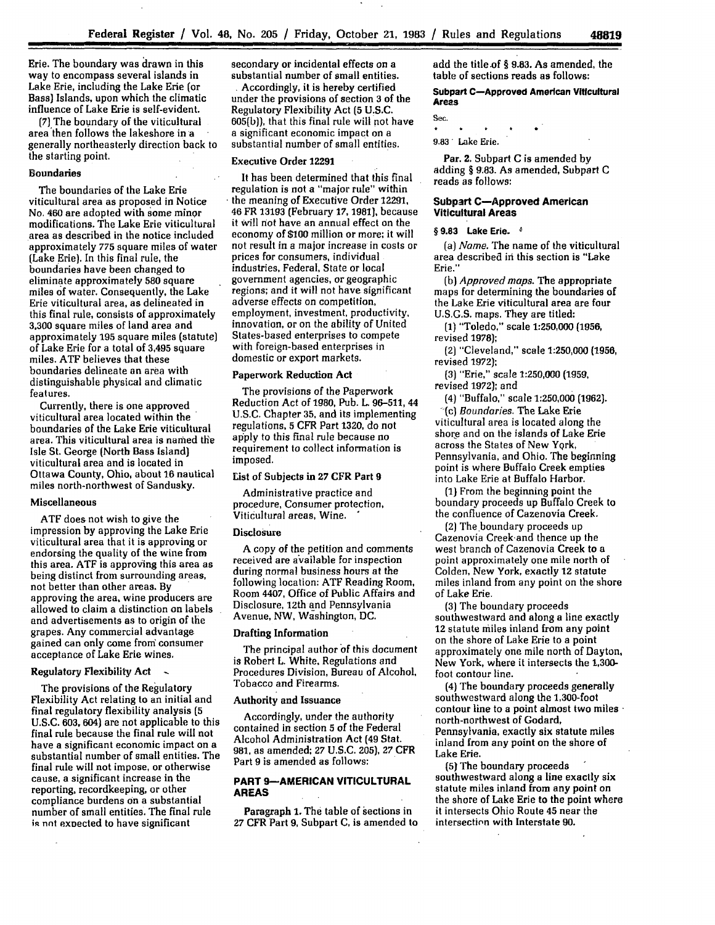Erie. The boundary was drawn in this way to encompass several islands in Lake Erie, including the Lake Erie (or Bass) Islands, upon which the climatic influence of Lake Erie is self-evident.

(7)The boundary of the viticultural area then follows the lakeshore in a generally northeasterly direction back to the starting point.

## **Boundaries**

The boundaries of the Lake Erie viticultural area as proposed in Notice No. **460** are adopted with some **minor** modifications. The Lake Erie viticultural area as described in the notice included approximately **775** square miles of water (Lake Erie). In this final rule, the boundaries have been changed to eliminate approximately **580** square miles of water. Consequently, the Lake Erie viticultural area, as delineated in this final rule, consists of approximately **3,300** square miles of land area and approximately **195** square miles (statute) of Lake Erie for a total of 3,495 square miles. **ATF** believes that these boundaries delineate an area with distinguishable physical and climatic features.

Currently, there is one approved viticultural area located within the boundaries of the Lake Erie viticultural area. This viticultural area is named the Isle St. George (North Bass Island) viticultural area and is located in Ottawa County, Ohio, about **16** nautical miles north-northwest of Sandusky.

#### Miscellaneous

**ATF** does not wish to give the impression **by** approving the Lake Erie viticultural area that it is approving or endorsing the quality of the wine from this area. **ATF** is approving this area as being distinct from surrounding areas, not better than other areas. **By** approving the area, wine producers are allowed to claim a distinction **on** labels and advertisements as to origin of the grapes. Any commercial advantage gained can only come fron consumer acceptance of Lake Erie wines,

## **Regulatory Flexibility Act**

The provisions of the Regulatory Flexibility Act relating to an initial and final regulatory flexibility analysis **(5 U.S.C.** 603, 604) are not applicable to this final rule because the final rule will not have a significant economic impact on a substantial number of small entities. The final rule will not impose, or otherwise cause, a significant increase in the reporting, recordkeeping, or other compliance burdens on a substantial number of small entities. The final rule is not expected to have significant

secondary or incidental effects on a substantial number of small entities. **.** Accordingly, it is hereby certified

under the provisions of section **3** of the Regulatory Flexibility Act **(5 U.S.C.** 605(b)), that this final rule will not have a significant economic impact on a substantial number of small entities.

#### **Executive Order 12291**

It has been determined that this final regulation is not a "major rule" within the meaning of Executive Order 12291, 46 FR **13193** (February **17, 1981),** because it will **not** have an annual effect on the economy of **\$100** million or more; **it** will not result in a major increase in costs or prices for consumers, individual industries, Federal, State or local government agencies, or geographic regions; and **it** will not have significant adverse effects on competition, employment, investment, productivity, innovation, or on the ability of United States-based enterprises to compete with foreign-based enterprises in domestic or export markets.

## **Paperwork Reduction Act**

The provisions of the Paperwork Reduction Act of **1980,** Pub. **L. 96-511,** 44 U.S.C. Chapter **35,** and its implementing regulations, **5** CFR Part **1320,** do not apply to this final rule because no requirement to collect information is imposed.

### List of Subjects in **27** CFR Part **9**

Administrative practice and procedure, Consumer protection, Viticultural areas, Wine.

#### **Disclosure**

A copy of the petition and comments received are available for inspection during normal business hours at the following location: **ATF** Reading Room, Room 4407, Office of Public Affairs and Disclosure, 12th and Pennsylvania Avenue, NW, Washington, **DC.**

### **Drafting Information**

The principal author of this document is Robert L. White, Regulations and Procedures Division, Bureau of Alcohol, Tobacco and Firearms.

### **Authority and Issuance**

Accordingly, under the authority contained in section **5** of the Federal Alcohol Administration Act (49 Stat. **981,** as amended; **27 U.S.C. 205), 27** CFR Part **9** is amended as follows:

# **PART 9-AMERICAN VITICULTURAL AREAS**

Paragraph **1. The** table of sections in **27** CFR Part **9,** Subpart **C,** is amended to

add the title-of **§ 9.83.** As amended, the table of sections reads as follows:

**48819**

## Subpart **C-Approved American Viticultural Areas**

Sec.

 $\rightarrow$ **9.83'** Lake Erie.

Par. 2. Subpart C is amended by adding **§** 9r.83. As amended, Subpart C reads as follows:

## **Subpart C-Approved American Viticultural Areas**

**§ 9.83 Lake Erie.**

*(a) Name.* The name of the viticultural area described in this section is "Lake Erie."

*(b) Approved maps.* The appropriate maps for determining the boundaries of the Lake Erie viticultural area are four U.S.G.S. maps. They are titled:

**(1)** "Toledo," scale **1:250,000 (1956,** revised 1978);

**(2)** "Cleveland," scale **1:250,000** (1956, revised **1972);**

**(3)** "Erie," scale **1:250,000 (1959,** revised **1972);** and

(4) "Buffalo," scale 1:250,000 **(1962).** *(c) Boundaries.* The Lake Erie viticultural area is located along the shore and on the islands of Lake Erie across the States of New York, Pennsylvania, and Ohio. The beginning point is where Buffalo Creek empties into Lake Erie at Buffalo Harbor.

**(1)** From the beginning point the boundary proceeds up Buffalo Creek to the confluence of Cazenovia Creek.

(2) The boundary proceeds up Cazenovia Creek-and thence up the west branch of Cazenovia Creek to a point approximately one mile north of Colden, New York, exactly 12 statute miles inland from any point on the shore of Lake Erie.

**(3)** The boundary proceeds southwestward and along a line exactly 12 statute miles inland from any point on the shore of Lake Erie to a point approximately one mile north **of** Dayton, New York, where it intersects the **1,300** foot contour line.

(4) The boundary proceeds generally southwestward along the 1,300-foot contour line to a point almost two miles north-northwest of Godard, Pennsylvania, exactly six statute miles inland from any point on the shore of Lake Erie.

**(5)** The boundary proceeds southwestward along a line exactly six statute miles inland from any point on the shore of Lake Erie to the point where it intersects Ohio Route 45 near the intersection with Interstate **90.**